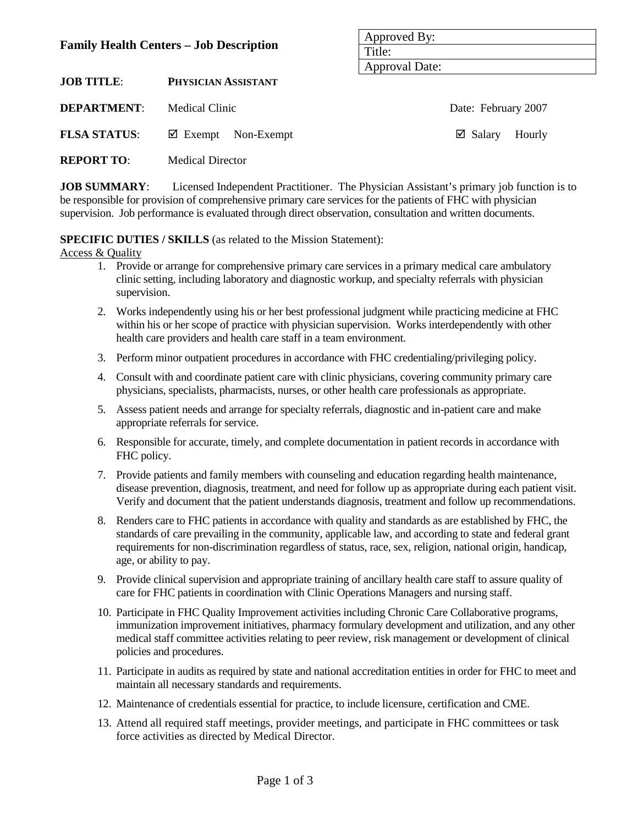| <b>Family Health Centers – Job Description</b> |                                  | Approved DV.                 |  |  |
|------------------------------------------------|----------------------------------|------------------------------|--|--|
|                                                |                                  | Title:                       |  |  |
|                                                |                                  | <b>Approval Date:</b>        |  |  |
| <b>JOB TITLE:</b>                              | PHYSICIAN ASSISTANT              |                              |  |  |
| <b>DEPARTMENT:</b>                             | Medical Clinic                   | Date: February 2007          |  |  |
| <b>FLSA STATUS:</b>                            | $\boxtimes$ Exempt<br>Non-Exempt | $\boxtimes$ Salary<br>Hourly |  |  |
| <b>REPORT TO:</b>                              | <b>Medical Director</b>          |                              |  |  |

 $\sqrt{1}$ 

**JOB SUMMARY**: Licensed Independent Practitioner.The Physician Assistant's primary job function is to be responsible for provision of comprehensive primary care services for the patients of FHC with physician supervision. Job performance is evaluated through direct observation, consultation and written documents.

**SPECIFIC DUTIES / SKILLS** (as related to the Mission Statement):

### Access & Quality

- 1. Provide or arrange for comprehensive primary care services in a primary medical care ambulatory clinic setting, including laboratory and diagnostic workup, and specialty referrals with physician supervision.
- 2. Works independently using his or her best professional judgment while practicing medicine at FHC within his or her scope of practice with physician supervision. Works interdependently with other health care providers and health care staff in a team environment.
- 3. Perform minor outpatient procedures in accordance with FHC credentialing/privileging policy.
- 4. Consult with and coordinate patient care with clinic physicians, covering community primary care physicians, specialists, pharmacists, nurses, or other health care professionals as appropriate.
- 5. Assess patient needs and arrange for specialty referrals, diagnostic and in-patient care and make appropriate referrals for service.
- 6. Responsible for accurate, timely, and complete documentation in patient records in accordance with FHC policy.
- 7. Provide patients and family members with counseling and education regarding health maintenance, disease prevention, diagnosis, treatment, and need for follow up as appropriate during each patient visit. Verify and document that the patient understands diagnosis, treatment and follow up recommendations.
- 8. Renders care to FHC patients in accordance with quality and standards as are established by FHC, the standards of care prevailing in the community, applicable law, and according to state and federal grant requirements for non-discrimination regardless of status, race, sex, religion, national origin, handicap, age, or ability to pay.
- 9. Provide clinical supervision and appropriate training of ancillary health care staff to assure quality of care for FHC patients in coordination with Clinic Operations Managers and nursing staff.
- 10. Participate in FHC Quality Improvement activities including Chronic Care Collaborative programs, immunization improvement initiatives, pharmacy formulary development and utilization, and any other medical staff committee activities relating to peer review, risk management or development of clinical policies and procedures.
- 11. Participate in audits as required by state and national accreditation entities in order for FHC to meet and maintain all necessary standards and requirements.
- 12. Maintenance of credentials essential for practice, to include licensure, certification and CME.
- 13. Attend all required staff meetings, provider meetings, and participate in FHC committees or task force activities as directed by Medical Director.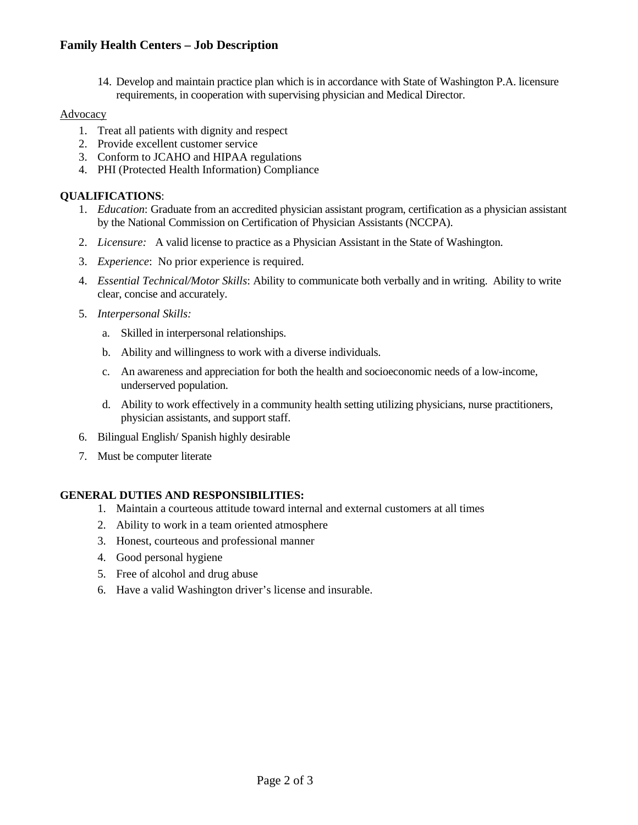# **Family Health Centers – Job Description**

14. Develop and maintain practice plan which is in accordance with State of Washington P.A. licensure requirements, in cooperation with supervising physician and Medical Director.

# **Advocacy**

- 1. Treat all patients with dignity and respect
- 2. Provide excellent customer service
- 3. Conform to JCAHO and HIPAA regulations
- 4. PHI (Protected Health Information) Compliance

## **QUALIFICATIONS**:

- 1. *Education*: Graduate from an accredited physician assistant program, certification as a physician assistant by the National Commission on Certification of Physician Assistants (NCCPA).
- 2. *Licensure:* A valid license to practice as a Physician Assistant in the State of Washington.
- 3. *Experience*: No prior experience is required.
- 4. *Essential Technical/Motor Skills*: Ability to communicate both verbally and in writing. Ability to write clear, concise and accurately.
- 5. *Interpersonal Skills:*
	- a. Skilled in interpersonal relationships.
	- b. Ability and willingness to work with a diverse individuals.
	- c. An awareness and appreciation for both the health and socioeconomic needs of a low-income, underserved population.
	- d. Ability to work effectively in a community health setting utilizing physicians, nurse practitioners, physician assistants, and support staff.
- 6. Bilingual English/ Spanish highly desirable
- 7. Must be computer literate

# **GENERAL DUTIES AND RESPONSIBILITIES:**

- 1. Maintain a courteous attitude toward internal and external customers at all times
- 2. Ability to work in a team oriented atmosphere
- 3. Honest, courteous and professional manner
- 4. Good personal hygiene
- 5. Free of alcohol and drug abuse
- 6. Have a valid Washington driver's license and insurable.